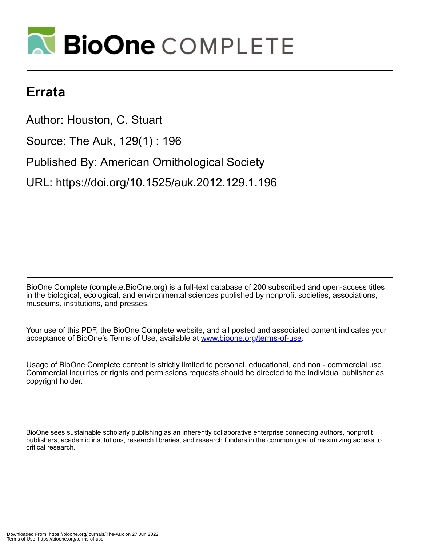

## **Errata**

Author: Houston, C. Stuart Source: The Auk, 129(1) : 196 Published By: American Ornithological Society URL: https://doi.org/10.1525/auk.2012.129.1.196

BioOne Complete (complete.BioOne.org) is a full-text database of 200 subscribed and open-access titles in the biological, ecological, and environmental sciences published by nonprofit societies, associations, museums, institutions, and presses.

Your use of this PDF, the BioOne Complete website, and all posted and associated content indicates your acceptance of BioOne's Terms of Use, available at www.bioone.org/terms-of-use.

Usage of BioOne Complete content is strictly limited to personal, educational, and non - commercial use. Commercial inquiries or rights and permissions requests should be directed to the individual publisher as copyright holder.

BioOne sees sustainable scholarly publishing as an inherently collaborative enterprise connecting authors, nonprofit publishers, academic institutions, research libraries, and research funders in the common goal of maximizing access to critical research.